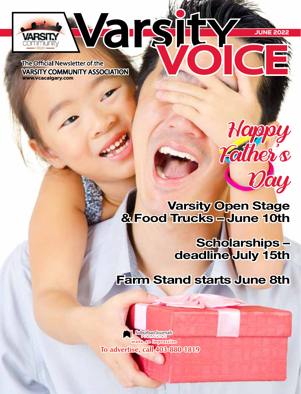**The Official Newsletter of the VARSITY COMMUNITY ASSOCIATION** www.vcacalgary.com

ommunit

Varşij

Varsity Open Stage & Food Trucks – June 10th

> Scholarships – deadline July 15th

JUNE 2022

Happy

Father's

Day

Farm Stand starts June 8th

**Suburban Journals** make an impression To advertise, call 403-880-1819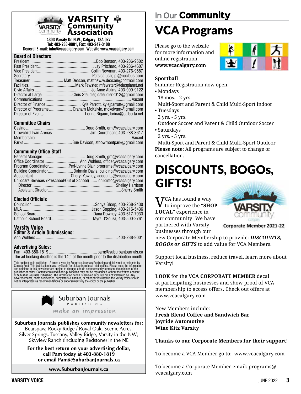

## VARSITY  $\mathbf{B}\mathbf{B}$

**4303 Varsity Dr. N.W., Calgary T3A 0Z7 Tel: 403-288-9001, Fax: 403-247-3100 General E-mail: info@vcacalgary.com Website www.vcacalgary.com**

#### **Board of Directors**

| Director of Programs Graham McKelvie, mckelvgm@gmail.com |
|----------------------------------------------------------|
|                                                          |

#### **Committee Chairs**

### **Community Office Staff**

| Program CoordinatorPeri-Lynne Blair, programs@vcacalgary.com          |
|-----------------------------------------------------------------------|
|                                                                       |
|                                                                       |
| Childcare Services (Preschool/Out of School) childinfo@vcacalgary.com |
|                                                                       |
|                                                                       |

#### **Elected Officials**

### **Varsity Voice**

| <b>Editor &amp; Article Submissions:</b> |  |
|------------------------------------------|--|
|                                          |  |

### **Advertising Sales:**

Pam: 403-880-1819 ............................................ pam@suburbanjournals.ca The ad booking deadline is the 14th of the month prior to the distribution month.

This publication is published 12 times a year by Suburban Journals Publishing and delivered to residents by<br>Canada Post. This publication is also available for pickup from local retail outlets. Please note: the information



Suburban Journals publishes community newsletters for:

Bearspaw, Rocky Ridge / Royal Oak, Scenic Acres, Silver Springs, Tuscany, Valley Ridge, Varsity in the NW; Skyview Ranch (including Redstone) in the NE

For the best return on your advertising dollar, call Pam today at 403-880-1819 or email Pam@SuburbanJournals.ca

www.SuburbanJournals.ca

## **In Our** Community VCA Programs

Please go to the website for more information and online registration. **www.vcacalgary.com**



### **Sportball**

Summer Registration now open.

- Mondays
- 18 mos. 2 yrs.

Multi-Sport and Parent & Child Multi-Sport Indoor

- Tuesdays
- 2 yrs. 5 yrs.
- Outdoor Soccer and Parent & Child Outdoor Soccer • Saturdays
- 2 yrs. 5 yrs.

Multi-Sport and Parent & Child Multi-Sport Outdoor **Please note:** All programs are subject to change or cancellation.

## DISCOUNTS, BOGOs, GIFTS!

VCA has found a way to improve the "**SHOP LOCAL**" experience in our community! We have partnered with Varsity businesses through our



Corporate Member 2021-22

new Corporate Membership to provide: *DISCOUNTS, BOGOs or GIFTS* to add value for VCA Members.

Support local business, reduce travel, learn more about Varsity!

**LOOK** for the **VCA CORPORATE MEMBER** decal at participating businesses and show proof of VCA membership to access offers. Check out offers at www.vcacalgary.com

New Members include: **Fresh Blend Coffee and Sandwich Bar Joyride Automotive Wine Kitz Varsity**

### **Thanks to our Corporate Members for their support!**

To become a VCA Member go to: www.vcacalgary.com

To become a Corporate Member email: programs@ vcacalgary.com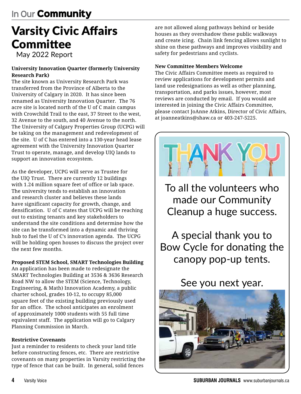## Varsity Civic Affairs **Committee**

May 2022 Report

### **University Innovation Quarter (formerly University Research Park)**

The site known as University Research Park was transferred from the Province of Alberta to the University of Calgary in 2020. It has since been renamed as University Innovation Quarter. The 76 acre site is located north of the U of C main campus with Crowchild Trail to the east, 37 Street to the west, 32 Avenue to the south, and 40 Avenue to the north. The University of Calgary Properties Group (UCPG) will be taking on the management and redevelopment of the site. U of C has entered into a 130-year head lease agreement with the University Innovation Quarter Trust to operate, manage, and develop UIQ lands to support an innovation ecosystem.

As the developer, UCPG will serve as Trustee for the UIQ Trust. There are currently 12 buildings with 1.24 million square feet of office or lab space. The university tends to establish an innovation and research cluster and believes these lands have significant capacity for growth, change, and densification. U of C states that UCPG will be reaching out to existing tenants and key stakeholders to understand the site conditions and determine how the site can be transformed into a dynamic and thriving hub to fuel the U of C's innovation agenda. The UCPG will be holding open houses to discuss the project over the next few months.

### **Proposed STEM School, SMART Technologies Building**

An application has been made to redesignate the SMART Technologies Building at 3536 & 3636 Research Road NW to allow the STEM (Science, Technology, Engineering, & Math) Innovation Academy, a public charter school, grades 10-12, to occupy 85,000 square feet of the existing building previously used for an office. The school anticipates an enrolment of approximately 1000 students with 55 full time equivalent staff. The application will go to Calgary Planning Commission in March.

### **Restrictive Covenants**

Just a reminder to residents to check your land title before constructing fences, etc. There are restrictive covenants on many properties in Varsity restricting the type of fence that can be built. In general, solid fences

are not allowed along pathways behind or beside houses as they overshadow these public walkways and create icing. Chain link fencing allows sunlight to shine on these pathways and improves visibility and safety for pedestrians and cyclists.

### **New Committee Members Welcome**

The Civic Affairs Committee meets as required to review applications for development permits and land use redesignations as well as other planning, transportation, and parks issues, however, most reviews are conducted by email. If you would are interested in joining the Civic Affairs Committee, please contact JoAnne Atkins, Director of Civic Affairs, at joanneatkins@shaw.ca or 403-247-5225.



To all the volunteers who made our Community Cleanup a huge success.

A special thank you to Bow Cycle for donating the canopy pop-up tents.

## See you next year.

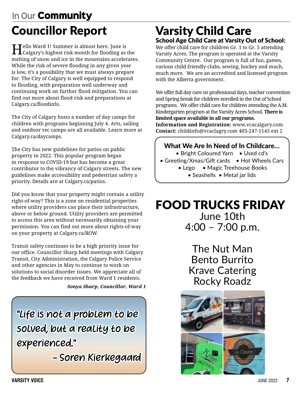## **In Our** Community Councillor Report

 $\mathbf{T}$ ello Ward 1! Summer is almost here. June is Calgary's highest risk month for flooding as the melting of snow and ice in the mountains accelerates. While the risk of severe flooding in any given year is low, it's a possibility that we must always prepare for. The City of Calgary is well equipped to respond to flooding, with preparation well underway and continuing work on further flood mitigation. You can find out more about flood risk and preparations at Calgary.ca/floodinfo.

The City of Calgary hosts a number of day camps for children with programs beginning July 4. Arts, sailing and outdoor rec camps are all available. Learn more at Calgary.ca/daycamps.

The City has new guidelines for patios on public property in 2022. This popular program began in response to COVID-19 but has become a great contributor to the vibrancy of Calgary streets. The new guidelines make accessibility and pedestrian safety a priority. Details are at Calgary.ca/patios.

Did you know that your property might contain a utility right-of-way? This is a zone on residential properties where utility providers can place their infrastructure, above or below ground. Utility providers are permitted to access this area without necessarily obtaining your permission. You can find out more about rights-of-way on your property at Calgary.ca/ROW.

Transit safety continues to be a high priority issue for our office. Councillor Sharp held meetings with Calgary Transit, City Administration, the Calgary Police Service and other agencies in May to continue to work on solutions to social disorder issues. We appreciate all of the feedback we have received from Ward 1 residents.

*Sonya Sharp, Councillor, Ward 1*

"Life is not a problem to be solved, but a reality to be experienced."

- Soren Kierkegaard

### Varsity Child Care School Age Child Care at Varsity Out of School:

We offer child care for children Gr. 1 to Gr. 5 attending Varsity Acres. The program is operated at the Varsity Community Centre. Our program is full of fun, games, various child friendly clubs, sewing, hockey and much, much more. We are an accredited and licensed program with the Alberta government.

We offer full day care on professional days, teacher convention and Spring break for children enrolled in the Out of School programs. We offer child care for children attending the A.M. Kindergarten program at the Varsity Acres School. **There is limited space available in all our programs.**

**Information and Registration:** www.vcacalgary.com **Contact:** childinfo@vcaclagry.com 403-247-1145 ext 2

### What We Are In Need of In Childcare…

- Bright Coloured Yarn Used cd's
- Greeting/Xmas/Gift cards Hot Wheels Cars
	- Lego Magic Treehouse Books • Seashells • Metal jar lids

# FOOD TRUCKS FRIDAY

June 10th 4:00 – 7:00 p.m.

The Nut Man Bento Burrito Krave Catering Rocky Roadz

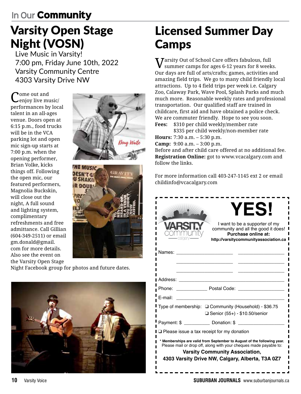# Varsity Open Stage Night (VOSN)

Live Music in Varsity! 7:00 pm, Friday June 10th, 2022 Varsity Community Centre 4303 Varsity Drive NW

 $\mathbf{C}^{\text{ome out and}}_{\text{enjoy live music}}$ performances by local talent in an all-ages venue. Doors open at 6:15 p.m., food trucks will be in the VCA parking lot and open mic sign-up starts at 7:00 p.m. when the opening performer, Brian Volke, kicks things off. Following the open mic, our featured performers, Magnolia Buckskin, will close out the night, A full sound and lighting system, complimentary refreshments and free admittance. Call Gillian (604-349-2511) or email gm.donald@gmail. com for more details. Also see the event on the Varsity Open Stage





Night Facebook group for photos and future dates.



# Licensed Summer Day Camps

 $\boldsymbol{V}$ arsity Out of School Care offers fabulous, full summer camps for ages 6-12 years for 8 weeks. Our days are full of arts/crafts; games, activities and amazing field trips. We go to many child friendly local attractions. Up to 4 field trips per week i.e. Calgary Zoo, Calaway Park, Wave Pool, Splash Parks and much much more. Reasonable weekly rates and professional transportation. Our qualified staff are trained in childcare, first aid and have obtained a police check. We are commuter friendly. Hope to see you soon. **Fees:** \$310 per child weekly/member rate

\$335 per child weekly/non-member rate **Hours:** 7:30 a.m. – 5:30 p.m. **Camp:** 9:00 a.m. – 3:00 p.m. Before and after child care offered at no additional fee. **Registration Online:** got to www.vcacalgary.com and follow the links.

For more information call 403-247-1145 ext 2 or email childinfo@vcacalgary.com

| <b>YES!</b><br>I want to be a supporter of my<br>community and all the good it does!<br>Purchase online at:<br>http://varsitycommunityassociation.ca                                                                                      |  |  |  |  |  |
|-------------------------------------------------------------------------------------------------------------------------------------------------------------------------------------------------------------------------------------------|--|--|--|--|--|
| Names:                                                                                                                                                                                                                                    |  |  |  |  |  |
|                                                                                                                                                                                                                                           |  |  |  |  |  |
| Address:                                                                                                                                                                                                                                  |  |  |  |  |  |
| Postal Code:<br>Phone:                                                                                                                                                                                                                    |  |  |  |  |  |
| E-mail:                                                                                                                                                                                                                                   |  |  |  |  |  |
| Type of membership: □ Community (Household) - \$36.75<br>$\Box$ Senior (55+) - \$10.50/senior                                                                                                                                             |  |  |  |  |  |
| Payment: \$ _____________ Donation: \$                                                                                                                                                                                                    |  |  |  |  |  |
| $\Box$ Please issue a tax receipt for my donation                                                                                                                                                                                         |  |  |  |  |  |
| * Memberships are valid from September to August of the following year.<br>Please mail or drop off, along with your cheques made payable to:<br><b>Varsity Community Association,</b><br>4303 Varsity Drive NW, Calgary, Alberta, T3A 0Z7 |  |  |  |  |  |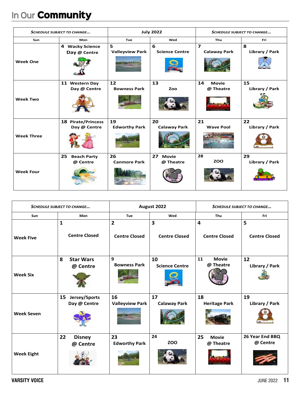| <b>SCHEDULE SUBJECT TO CHANGE</b> |                                           | <b>July 2022</b>            |                                 | <b>SCHEDULE SUBJECT TO CHANGE</b>              |                      |
|-----------------------------------|-------------------------------------------|-----------------------------|---------------------------------|------------------------------------------------|----------------------|
| Sun                               | Mon                                       | Tue                         | Wed                             | Thu                                            | Fri                  |
| <b>Week One</b>                   | 4 Wacky Science<br>Day @ Centre           | 5<br><b>Valleyview Park</b> | 6<br><b>Science Centre</b>      | $\overline{\mathbf{z}}$<br><b>Calaway Park</b> | 8<br>Library / Park  |
| <b>Week Two</b>                   | 11 Western Day<br>Day @ Centre            | 12<br><b>Bowness Park</b>   | 13<br>Zoo                       | 14<br><b>Movie</b><br>@ Theatre                | 15<br>Library / Park |
| <b>Week Three</b>                 | <b>18 Pirate/Princess</b><br>Day @ Centre | 19<br><b>Edworthy Park</b>  | 20<br><b>Calaway Park</b>       | 21<br><b>Wave Pool</b>                         | 22<br>Library / Park |
| <b>Week Four</b>                  | 25<br><b>Beach Party</b><br>@ Centre      | 26<br><b>Canmore Park</b>   | 27<br><b>Movie</b><br>@ Theatre | 28<br><b>ZOO</b>                               | 29<br>Library / Park |

| <b>SCHEDULE SUBJECT TO CHANGE</b> |                                      | August 2022                            |                             | <b>SCHEDULE SUBJECT TO CHANGE</b> |                             |
|-----------------------------------|--------------------------------------|----------------------------------------|-----------------------------|-----------------------------------|-----------------------------|
| Sun                               | Mon                                  | Tue                                    | Wed                         | Thu                               | Fri                         |
| <b>Week Five</b>                  | $\mathbf{1}$<br><b>Centre Closed</b> | $\overline{2}$<br><b>Centre Closed</b> | 3<br><b>Centre Closed</b>   | 4<br><b>Centre Closed</b>         | 5<br><b>Centre Closed</b>   |
| <b>Week Six</b>                   | 8<br><b>Star Wars</b><br>@ Centre    | 9<br><b>Bowness Park</b>               | 10<br><b>Science Centre</b> | 11<br><b>Movie</b><br>@ Theatre   | 12<br>Library / Park        |
| <b>Week Seven</b>                 | 15<br>Jersey/Sports<br>Day @ Centre  | 16<br><b>Valleyview Park</b>           | 17<br><b>Calaway Park</b>   | 18<br><b>Heritage Park</b>        | 19<br>Library / Park        |
| <b>Week Eight</b>                 | 22<br><b>Disney</b><br>@ Centre      | 23<br><b>Edworthy Park</b>             | 24<br><b>ZOO</b>            | 25<br><b>Movie</b><br>@ Theatre   | 26 Year End BBQ<br>@ Centre |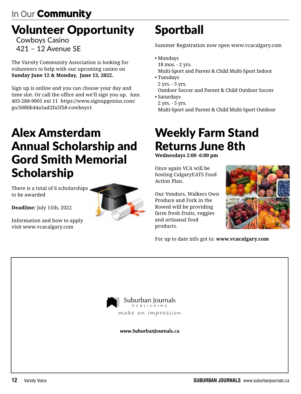## Volunteer Opportunity

Cowboys Casino 421 – 12 Avenue SE

The Varsity Community Association is looking for volunteers to help with our upcoming casino on **Sunday June 12 & Monday, June 13, 2022.**

Sign up is online and you can choose your day and time slot. Or call the office and we'll sign you up. Ann 403-288-9001 ext 11 https://www.signupgenius.com/ go/5080b44a5ad2fa5f58-cowboys1

## Alex Amsterdam Annual Scholarship and Gord Smith Memorial Scholarship

There is a total of 6 scholarships. to be awarded

**Deadline:** July 15th, 2022

Information and how to apply visit www.vcacalgary.com



# Sportball

Summer Registration now open www.vcacalgary.com

- Mondays 18 mos. - 2 yrs. Multi-Sport and Parent & Child Multi-Sport Indoor
- Tuesdays
- 2 yrs. 5 yrs.
- Outdoor Soccer and Parent & Child Outdoor Soccer • Saturdays
- 2 yrs. 5 yrs.

Multi-Sport and Parent & Child Multi-Sport Outdoor

## Weekly Farm Stand Returns June 8th

**Wednesdays 2:00 -6:00 pm**

Once again VCA will be hosting CalgaryEATS Food Action Plan.

Our Vendors, Walkers Own Produce and Fork in the Rowed will be providing farm fresh fruits, veggies and artisanal food products.



For up to date info got to: **www.vcacalgary.com** 



www.SuburbanIournals.ca